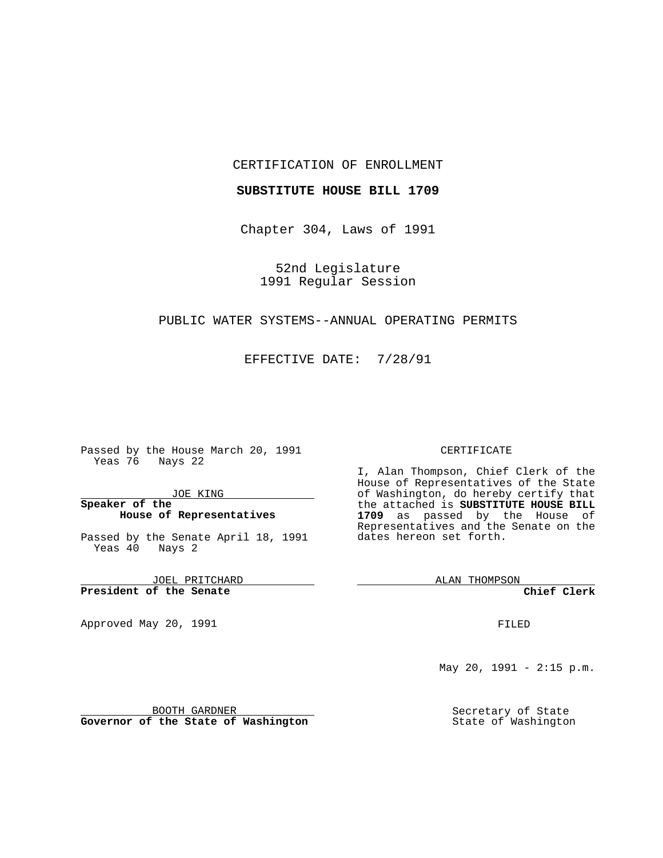#### CERTIFICATION OF ENROLLMENT

### **SUBSTITUTE HOUSE BILL 1709**

Chapter 304, Laws of 1991

52nd Legislature 1991 Regular Session

# PUBLIC WATER SYSTEMS--ANNUAL OPERATING PERMITS

EFFECTIVE DATE: 7/28/91

Passed by the House March 20, 1991 Yeas 76 Nays 22

JOE KING

# **Speaker of the House of Representatives**

Passed by the Senate April 18, 1991 Yeas 40 Nays 2

JOEL PRITCHARD **President of the Senate**

Approved May 20, 1991

#### CERTIFICATE

I, Alan Thompson, Chief Clerk of the House of Representatives of the State of Washington, do hereby certify that the attached is **SUBSTITUTE HOUSE BILL 1709** as passed by the House of Representatives and the Senate on the dates hereon set forth.

ALAN THOMPSON

**Chief Clerk**

FILED

May 20,  $1991 - 2:15$  p.m.

Secretary of State State of Washington

BOOTH GARDNER **Governor of the State of Washington**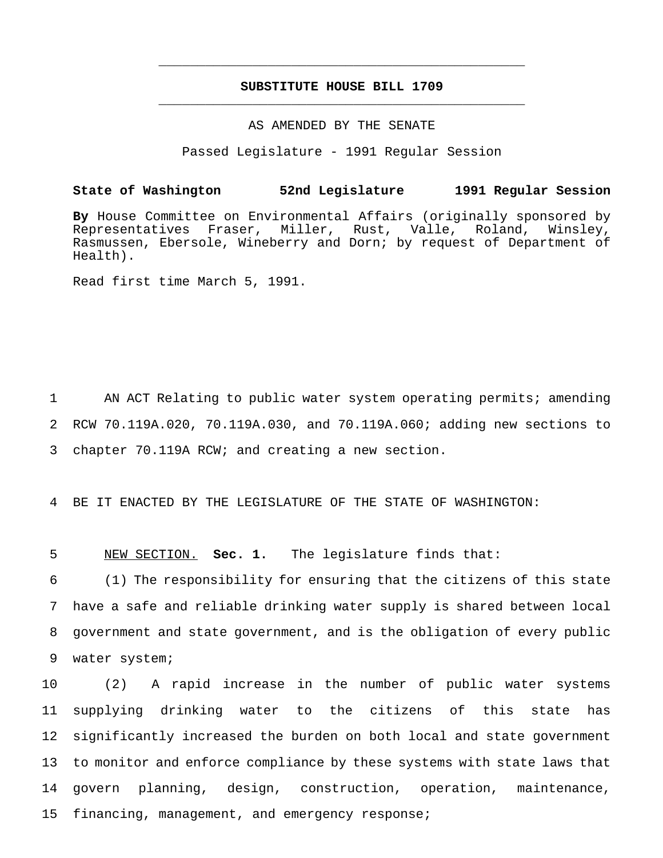# **SUBSTITUTE HOUSE BILL 1709** \_\_\_\_\_\_\_\_\_\_\_\_\_\_\_\_\_\_\_\_\_\_\_\_\_\_\_\_\_\_\_\_\_\_\_\_\_\_\_\_\_\_\_\_\_\_\_

\_\_\_\_\_\_\_\_\_\_\_\_\_\_\_\_\_\_\_\_\_\_\_\_\_\_\_\_\_\_\_\_\_\_\_\_\_\_\_\_\_\_\_\_\_\_\_

#### AS AMENDED BY THE SENATE

Passed Legislature - 1991 Regular Session

## **State of Washington 52nd Legislature 1991 Regular Session**

**By** House Committee on Environmental Affairs (originally sponsored by Representatives Fraser, Miller, Rust, Valle, Roland, Winsley, Rasmussen, Ebersole, Wineberry and Dorn; by request of Department of Health).

Read first time March 5, 1991.

1 AN ACT Relating to public water system operating permits; amending 2 RCW 70.119A.020, 70.119A.030, and 70.119A.060; adding new sections to 3 chapter 70.119A RCW; and creating a new section.

4 BE IT ENACTED BY THE LEGISLATURE OF THE STATE OF WASHINGTON:

5 NEW SECTION. **Sec. 1.** The legislature finds that:

 (1) The responsibility for ensuring that the citizens of this state have a safe and reliable drinking water supply is shared between local government and state government, and is the obligation of every public water system;

 (2) A rapid increase in the number of public water systems supplying drinking water to the citizens of this state has significantly increased the burden on both local and state government to monitor and enforce compliance by these systems with state laws that govern planning, design, construction, operation, maintenance, 15 financing, management, and emergency response;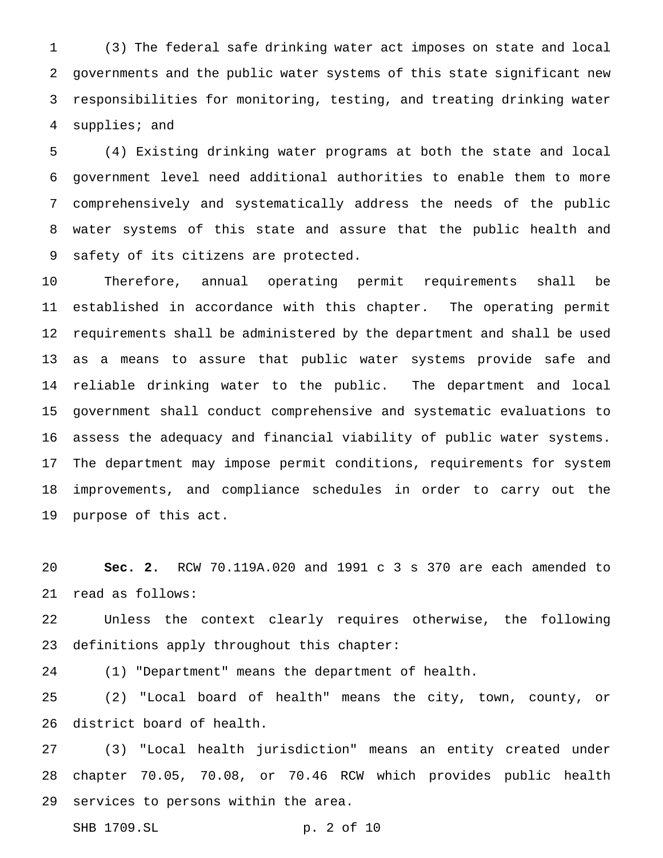(3) The federal safe drinking water act imposes on state and local governments and the public water systems of this state significant new responsibilities for monitoring, testing, and treating drinking water supplies; and

 (4) Existing drinking water programs at both the state and local government level need additional authorities to enable them to more comprehensively and systematically address the needs of the public water systems of this state and assure that the public health and safety of its citizens are protected.

 Therefore, annual operating permit requirements shall be established in accordance with this chapter. The operating permit requirements shall be administered by the department and shall be used as a means to assure that public water systems provide safe and reliable drinking water to the public. The department and local government shall conduct comprehensive and systematic evaluations to assess the adequacy and financial viability of public water systems. The department may impose permit conditions, requirements for system improvements, and compliance schedules in order to carry out the purpose of this act.

 **Sec. 2.** RCW 70.119A.020 and 1991 c 3 s 370 are each amended to read as follows:

 Unless the context clearly requires otherwise, the following definitions apply throughout this chapter:

(1) "Department" means the department of health.

 (2) "Local board of health" means the city, town, county, or district board of health.

 (3) "Local health jurisdiction" means an entity created under chapter 70.05, 70.08, or 70.46 RCW which provides public health services to persons within the area.

SHB 1709.SL p. 2 of 10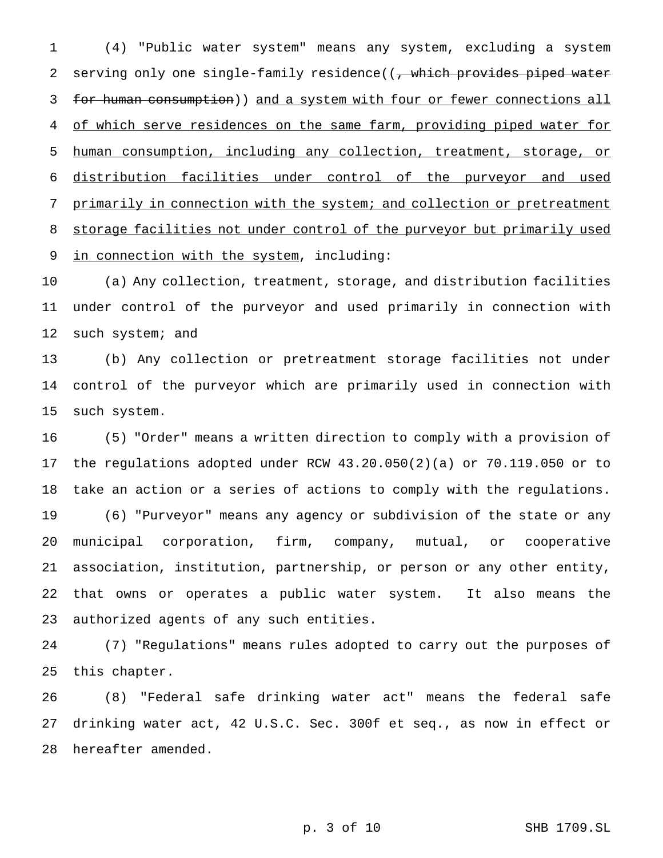(4) "Public water system" means any system, excluding a system 2 serving only one single-family residence((, which provides piped water for human consumption)) and a system with four or fewer connections all 4 of which serve residences on the same farm, providing piped water for human consumption, including any collection, treatment, storage, or distribution facilities under control of the purveyor and used primarily in connection with the system; and collection or pretreatment 8 storage facilities not under control of the purveyor but primarily used 9 in connection with the system, including:

 (a) Any collection, treatment, storage, and distribution facilities under control of the purveyor and used primarily in connection with 12 such system; and

 (b) Any collection or pretreatment storage facilities not under control of the purveyor which are primarily used in connection with such system.

 (5) "Order" means a written direction to comply with a provision of the regulations adopted under RCW 43.20.050(2)(a) or 70.119.050 or to take an action or a series of actions to comply with the regulations. (6) "Purveyor" means any agency or subdivision of the state or any municipal corporation, firm, company, mutual, or cooperative association, institution, partnership, or person or any other entity, that owns or operates a public water system. It also means the authorized agents of any such entities.

 (7) "Regulations" means rules adopted to carry out the purposes of this chapter.

 (8) "Federal safe drinking water act" means the federal safe drinking water act, 42 U.S.C. Sec. 300f et seq., as now in effect or hereafter amended.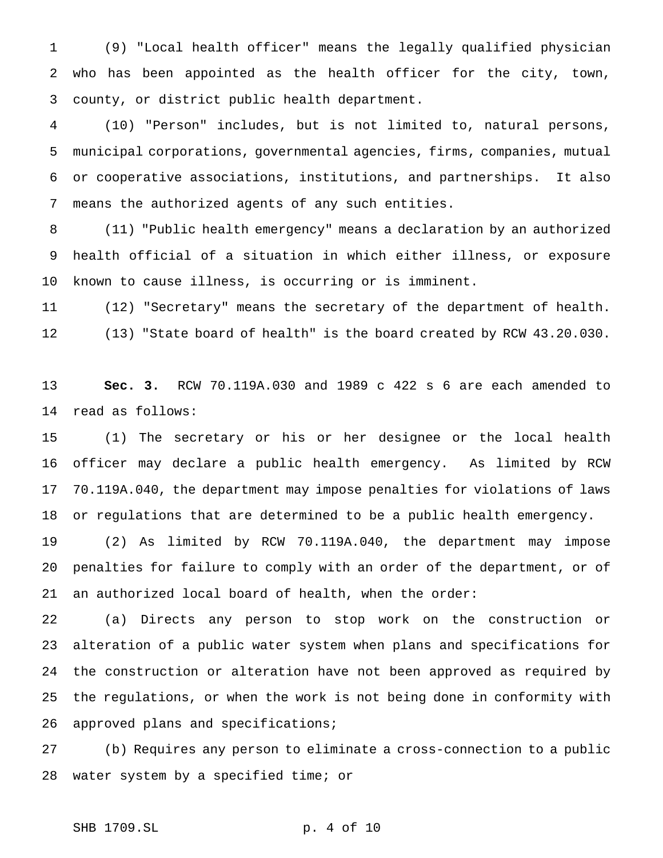(9) "Local health officer" means the legally qualified physician who has been appointed as the health officer for the city, town, county, or district public health department.

 (10) "Person" includes, but is not limited to, natural persons, municipal corporations, governmental agencies, firms, companies, mutual or cooperative associations, institutions, and partnerships. It also means the authorized agents of any such entities.

 (11) "Public health emergency" means a declaration by an authorized health official of a situation in which either illness, or exposure known to cause illness, is occurring or is imminent.

 (12) "Secretary" means the secretary of the department of health. (13) "State board of health" is the board created by RCW 43.20.030.

 **Sec. 3.** RCW 70.119A.030 and 1989 c 422 s 6 are each amended to read as follows:

 (1) The secretary or his or her designee or the local health officer may declare a public health emergency. As limited by RCW 70.119A.040, the department may impose penalties for violations of laws or regulations that are determined to be a public health emergency.

 (2) As limited by RCW 70.119A.040, the department may impose penalties for failure to comply with an order of the department, or of an authorized local board of health, when the order:

 (a) Directs any person to stop work on the construction or alteration of a public water system when plans and specifications for the construction or alteration have not been approved as required by the regulations, or when the work is not being done in conformity with approved plans and specifications;

 (b) Requires any person to eliminate a cross-connection to a public water system by a specified time; or

## SHB 1709.SL p. 4 of 10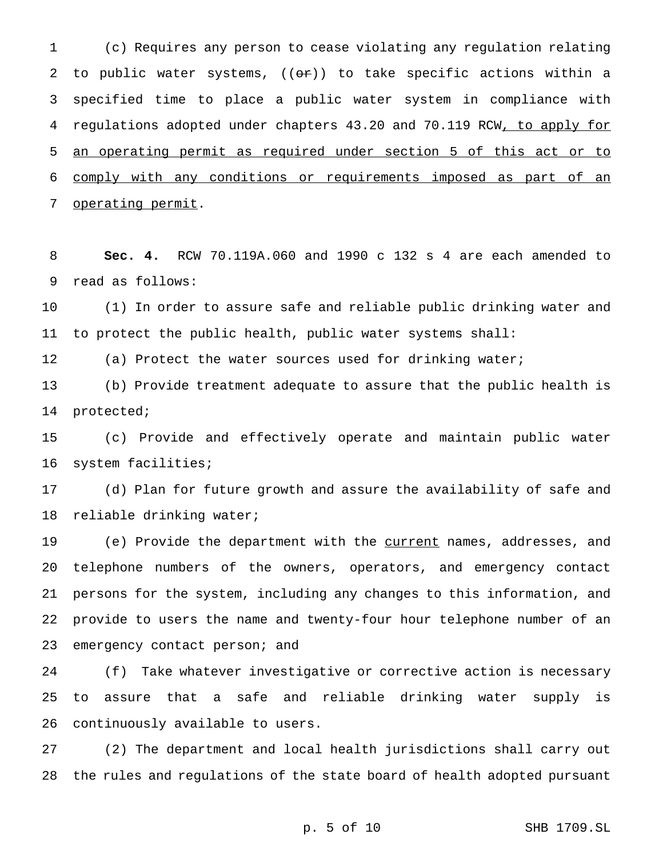(c) Requires any person to cease violating any regulation relating 2 to public water systems,  $((\theta \cdot \hat{r}))$  to take specific actions within a specified time to place a public water system in compliance with 4 regulations adopted under chapters 43.20 and 70.119 RCW, to apply for an operating permit as required under section 5 of this act or to comply with any conditions or requirements imposed as part of an 7 operating permit.

 **Sec. 4.** RCW 70.119A.060 and 1990 c 132 s 4 are each amended to read as follows:

 (1) In order to assure safe and reliable public drinking water and to protect the public health, public water systems shall:

12 (a) Protect the water sources used for drinking water;

 (b) Provide treatment adequate to assure that the public health is protected;

 (c) Provide and effectively operate and maintain public water system facilities;

 (d) Plan for future growth and assure the availability of safe and reliable drinking water;

19 (e) Provide the department with the current names, addresses, and telephone numbers of the owners, operators, and emergency contact persons for the system, including any changes to this information, and provide to users the name and twenty-four hour telephone number of an 23 emergency contact person; and

 (f) Take whatever investigative or corrective action is necessary to assure that a safe and reliable drinking water supply is continuously available to users.

 (2) The department and local health jurisdictions shall carry out the rules and regulations of the state board of health adopted pursuant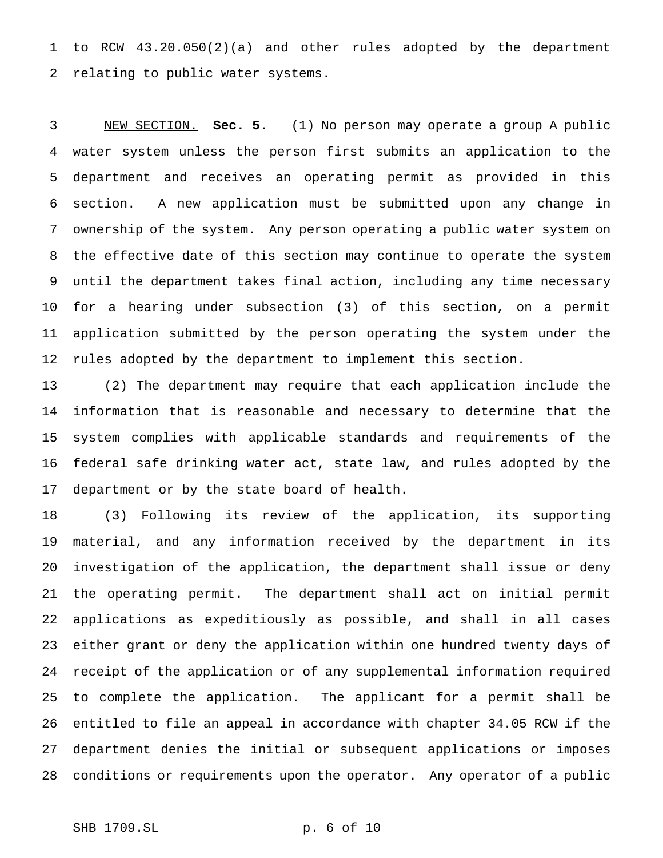to RCW 43.20.050(2)(a) and other rules adopted by the department relating to public water systems.

 NEW SECTION. **Sec. 5.** (1) No person may operate a group A public water system unless the person first submits an application to the department and receives an operating permit as provided in this section. A new application must be submitted upon any change in ownership of the system. Any person operating a public water system on the effective date of this section may continue to operate the system until the department takes final action, including any time necessary for a hearing under subsection (3) of this section, on a permit application submitted by the person operating the system under the rules adopted by the department to implement this section.

 (2) The department may require that each application include the information that is reasonable and necessary to determine that the system complies with applicable standards and requirements of the federal safe drinking water act, state law, and rules adopted by the department or by the state board of health.

 (3) Following its review of the application, its supporting material, and any information received by the department in its investigation of the application, the department shall issue or deny the operating permit. The department shall act on initial permit applications as expeditiously as possible, and shall in all cases either grant or deny the application within one hundred twenty days of receipt of the application or of any supplemental information required to complete the application. The applicant for a permit shall be entitled to file an appeal in accordance with chapter 34.05 RCW if the department denies the initial or subsequent applications or imposes conditions or requirements upon the operator. Any operator of a public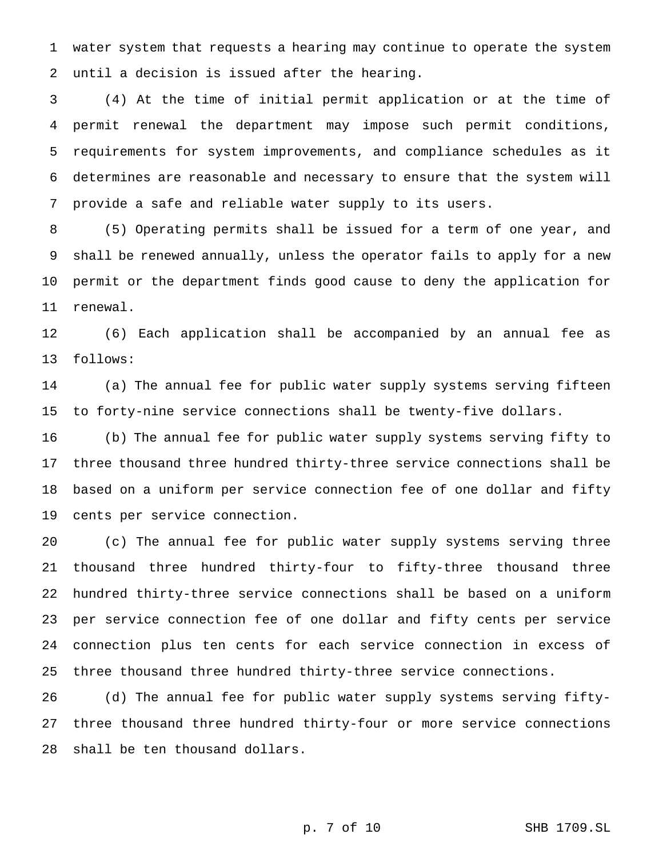water system that requests a hearing may continue to operate the system until a decision is issued after the hearing.

 (4) At the time of initial permit application or at the time of permit renewal the department may impose such permit conditions, requirements for system improvements, and compliance schedules as it determines are reasonable and necessary to ensure that the system will provide a safe and reliable water supply to its users.

 (5) Operating permits shall be issued for a term of one year, and shall be renewed annually, unless the operator fails to apply for a new permit or the department finds good cause to deny the application for renewal.

 (6) Each application shall be accompanied by an annual fee as follows:

 (a) The annual fee for public water supply systems serving fifteen to forty-nine service connections shall be twenty-five dollars.

 (b) The annual fee for public water supply systems serving fifty to three thousand three hundred thirty-three service connections shall be based on a uniform per service connection fee of one dollar and fifty cents per service connection.

 (c) The annual fee for public water supply systems serving three thousand three hundred thirty-four to fifty-three thousand three hundred thirty-three service connections shall be based on a uniform per service connection fee of one dollar and fifty cents per service connection plus ten cents for each service connection in excess of three thousand three hundred thirty-three service connections.

 (d) The annual fee for public water supply systems serving fifty- three thousand three hundred thirty-four or more service connections shall be ten thousand dollars.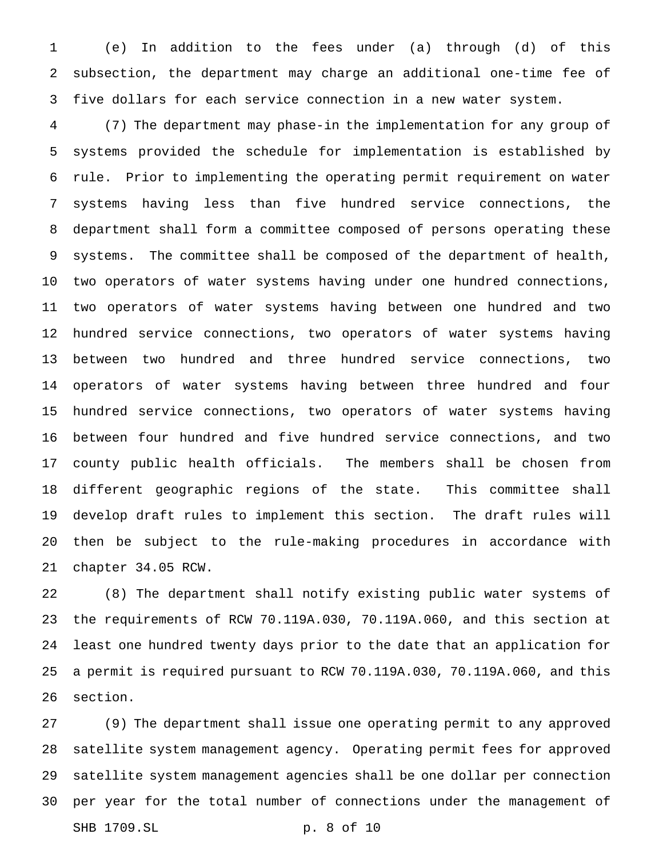(e) In addition to the fees under (a) through (d) of this subsection, the department may charge an additional one-time fee of five dollars for each service connection in a new water system.

 (7) The department may phase-in the implementation for any group of systems provided the schedule for implementation is established by rule. Prior to implementing the operating permit requirement on water systems having less than five hundred service connections, the department shall form a committee composed of persons operating these systems. The committee shall be composed of the department of health, two operators of water systems having under one hundred connections, two operators of water systems having between one hundred and two hundred service connections, two operators of water systems having between two hundred and three hundred service connections, two operators of water systems having between three hundred and four hundred service connections, two operators of water systems having between four hundred and five hundred service connections, and two county public health officials. The members shall be chosen from different geographic regions of the state. This committee shall develop draft rules to implement this section. The draft rules will then be subject to the rule-making procedures in accordance with chapter 34.05 RCW.

 (8) The department shall notify existing public water systems of the requirements of RCW 70.119A.030, 70.119A.060, and this section at least one hundred twenty days prior to the date that an application for a permit is required pursuant to RCW 70.119A.030, 70.119A.060, and this section.

 (9) The department shall issue one operating permit to any approved satellite system management agency. Operating permit fees for approved satellite system management agencies shall be one dollar per connection per year for the total number of connections under the management of SHB 1709.SL p. 8 of 10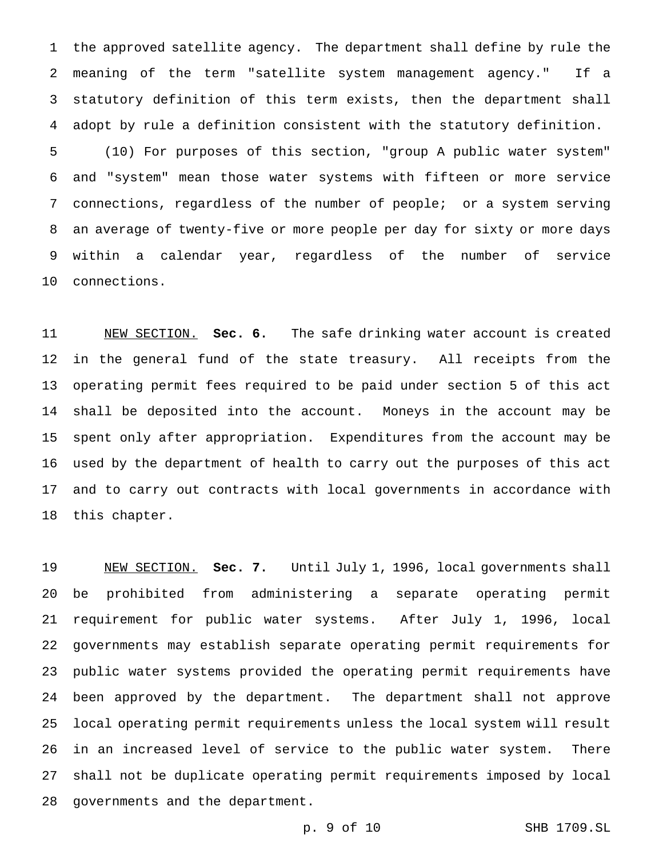the approved satellite agency. The department shall define by rule the meaning of the term "satellite system management agency." If a statutory definition of this term exists, then the department shall adopt by rule a definition consistent with the statutory definition.

 (10) For purposes of this section, "group A public water system" and "system" mean those water systems with fifteen or more service connections, regardless of the number of people; or a system serving an average of twenty-five or more people per day for sixty or more days within a calendar year, regardless of the number of service connections.

 NEW SECTION. **Sec. 6.** The safe drinking water account is created in the general fund of the state treasury. All receipts from the operating permit fees required to be paid under section 5 of this act shall be deposited into the account. Moneys in the account may be spent only after appropriation. Expenditures from the account may be used by the department of health to carry out the purposes of this act and to carry out contracts with local governments in accordance with this chapter.

 NEW SECTION. **Sec. 7.** Until July 1, 1996, local governments shall be prohibited from administering a separate operating permit requirement for public water systems. After July 1, 1996, local governments may establish separate operating permit requirements for public water systems provided the operating permit requirements have been approved by the department. The department shall not approve local operating permit requirements unless the local system will result in an increased level of service to the public water system. There shall not be duplicate operating permit requirements imposed by local governments and the department.